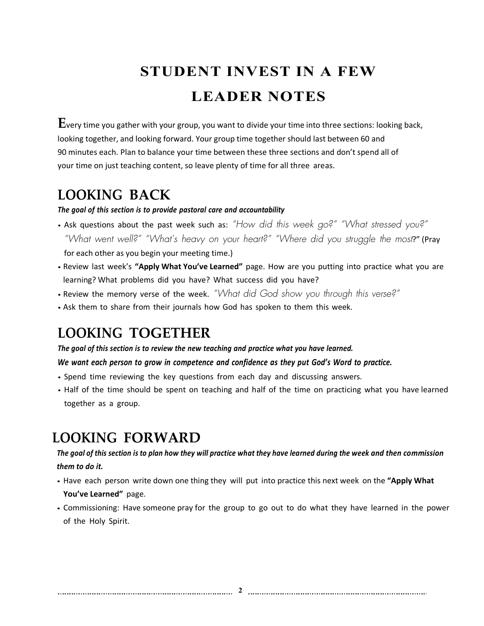# **STUDENT INVEST IN A FEW LEADER NOTES**

**E**very time you gather with your group, you want to divide your time into three sections: looking back, looking together, and looking forward. Your group time together should last between 60 and 90 minutes each. Plan to balance your time between these three sections and don't spend all of your time on just teaching content, so leave plenty of time for all three areas.

# **LOOKING BACK**

#### *The goal of this section is to provide pastoral care and accountability*

- Ask questions about the past week such as: *"How did this week go?" "What stressed you?" "What went well?" "What's heavy on your heart?" "Where did you struggle the most*?" (Pray for each other as you begin your meeting time.)
- Review last week's **"Apply What You've Learned"** page. How are you putting into practice what you are learning? What problems did you have? What success did you have?
- Review the memory verse of the week. *"What did God show you through this verse?"*
- Ask them to share from their journals how God has spoken to them this week.

# **LOOKING TOGETHER**

#### *The goal of this section is to review the new teaching and practice what you have learned.*

#### *We want each person to grow in competence and confidence as they put God's Word to practice.*

- Spend time reviewing the key questions from each day and discussing answers.
- Half of the time should be spent on teaching and half of the time on practicing what you have learned together as a group.

# **LOOKING FORWARD**

### *The goal of this section is to plan how they will practice what they have learned during the week and then commission them to do it.*

- Have each person write down one thing they will put into practice this next week on the **"Apply What You've Learned"** page.
- Commissioning: Have someone pray for the group to go out to do what they have learned in the power of the Holy Spirit.

 **2**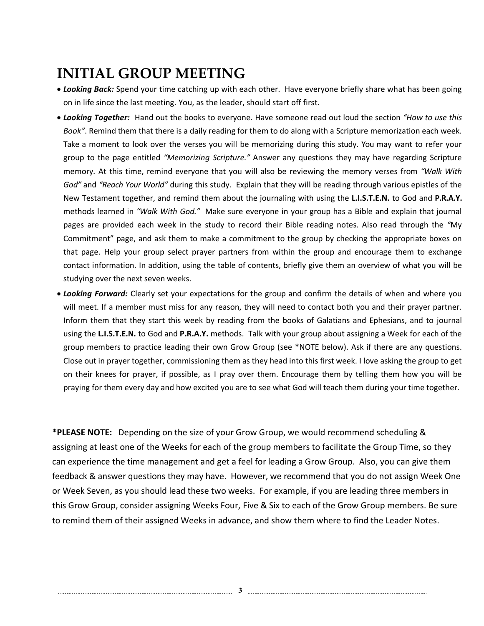# **INITIAL GROUP MEETING**

- *Looking Back:* Spend your time catching up with each other. Have everyone briefly share what has been going on in life since the last meeting. You, as the leader, should start off first.
- *Looking Together:* Hand out the books to everyone. Have someone read out loud the section *"How to use this Book"*. Remind them that there is a daily reading for them to do along with a Scripture memorization each week. Take a moment to look over the verses you will be memorizing during this study. You may want to refer your group to the page entitled *"Memorizing Scripture."* Answer any questions they may have regarding Scripture memory. At this time, remind everyone that you will also be reviewing the memory verses from *"Walk With God"* and *"Reach Your World"* during this study. Explain that they will be reading through various epistles of the New Testament together, and remind them about the journaling with using the **L.I.S.T.E.N.** to God and **P.R.A.Y.**  methods learned in *"Walk With God."* Make sure everyone in your group has a Bible and explain that journal pages are provided each week in the study to record their Bible reading notes. Also read through the *"*My Commitment" page, and ask them to make a commitment to the group by checking the appropriate boxes on that page. Help your group select prayer partners from within the group and encourage them to exchange contact information. In addition, using the table of contents, briefly give them an overview of what you will be studying over the next seven weeks.
- *Looking Forward:* Clearly set your expectations for the group and confirm the details of when and where you will meet. If a member must miss for any reason, they will need to contact both you and their prayer partner. Inform them that they start this week by reading from the books of Galatians and Ephesians, and to journal using the **L.I.S.T.E.N.** to God and **P.R.A.Y.** methods. Talk with your group about assigning a Week for each of the group members to practice leading their own Grow Group (see \*NOTE below). Ask if there are any questions. Close out in prayer together, commissioning them as they head into this first week. I love asking the group to get on their knees for prayer, if possible, as I pray over them. Encourage them by telling them how you will be praying for them every day and how excited you are to see what God will teach them during your time together.

**\*PLEASE NOTE:** Depending on the size of your Grow Group, we would recommend scheduling & assigning at least one of the Weeks for each of the group members to facilitate the Group Time, so they can experience the time management and get a feel for leading a Grow Group. Also, you can give them feedback & answer questions they may have. However, we recommend that you do not assign Week One or Week Seven, as you should lead these two weeks. For example, if you are leading three members in this Grow Group, consider assigning Weeks Four, Five & Six to each of the Grow Group members. Be sure to remind them of their assigned Weeks in advance, and show them where to find the Leader Notes.

 **3**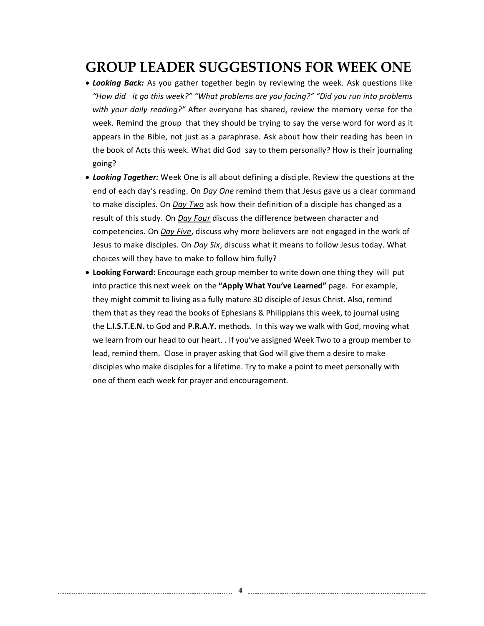### **GROUP LEADER SUGGESTIONS FOR WEEK ONE**

- *Looking Back:* As you gather together begin by reviewing the week. Ask questions like *"How did it go this week?" "What problems are you facing?" "Did you run into problems with your daily reading?"* After everyone has shared, review the memory verse for the week. Remind the group that they should be trying to say the verse word for word as it appears in the Bible, not just as a paraphrase. Ask about how their reading has been in the book of Acts this week. What did God say to them personally? How is their journaling going?
- *Looking Together:* Week One is all about defining a disciple. Review the questions at the end of each day's reading. On *Day One* remind them that Jesus gave us a clear command to make disciples. On *Day Two* ask how their definition of a disciple has changed as a result of this study. On *Day Four* discuss the difference between character and competencies. On *Day Five*, discuss why more believers are not engaged in the work of Jesus to make disciples. On *Day Six*, discuss what it means to follow Jesus today. What choices will they have to make to follow him fully?
- **Looking Forward:** Encourage each group member to write down one thing they will put into practice this next week on the **"Apply What You've Learned"** page. For example, they might commit to living as a fully mature 3D disciple of Jesus Christ. Also, remind them that as they read the books of Ephesians & Philippians this week, to journal using the **L.I.S.T.E.N.** to God and **P.R.A.Y.** methods. In this way we walk with God, moving what we learn from our head to our heart. . If you've assigned Week Two to a group member to lead, remind them. Close in prayer asking that God will give them a desire to make disciples who make disciples for a lifetime. Try to make a point to meet personally with one of them each week for prayer and encouragement.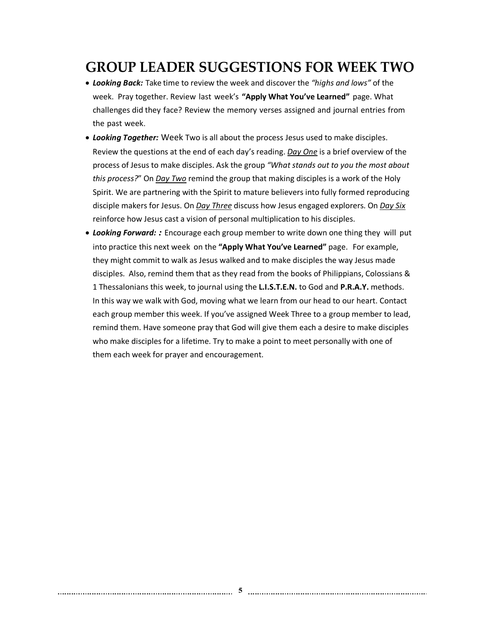# **GROUP LEADER SUGGESTIONS FOR WEEK TWO**

- *Looking Back:* Take time to review the week and discover the *"highs and lows"* of the week. Pray together. Review last week's **"Apply What You've Learned"** page. What challenges did they face? Review the memory verses assigned and journal entries from the past week.
- *Looking Together:* Week Two is all about the process Jesus used to make disciples. Review the questions at the end of each day's reading. *Day One* is a brief overview of the process of Jesus to make disciples. Ask the group *"What stands out to you the most about this process?*" On *Day Two* remind the group that making disciples is a work of the Holy Spirit. We are partnering with the Spirit to mature believers into fully formed reproducing disciple makers for Jesus. On *Day Three* discuss how Jesus engaged explorers. On *Day Six* reinforce how Jesus cast a vision of personal multiplication to his disciples.
- *Looking Forward: :* Encourage each group member to write down one thing they will put into practice this next week on the **"Apply What You've Learned"** page. For example, they might commit to walk as Jesus walked and to make disciples the way Jesus made disciples. Also, remind them that as they read from the books of Philippians, Colossians & 1 Thessalonians this week, to journal using the **L.I.S.T.E.N.** to God and **P.R.A.Y.** methods. In this way we walk with God, moving what we learn from our head to our heart. Contact each group member this week. If you've assigned Week Three to a group member to lead, remind them. Have someone pray that God will give them each a desire to make disciples who make disciples for a lifetime. Try to make a point to meet personally with one of them each week for prayer and encouragement.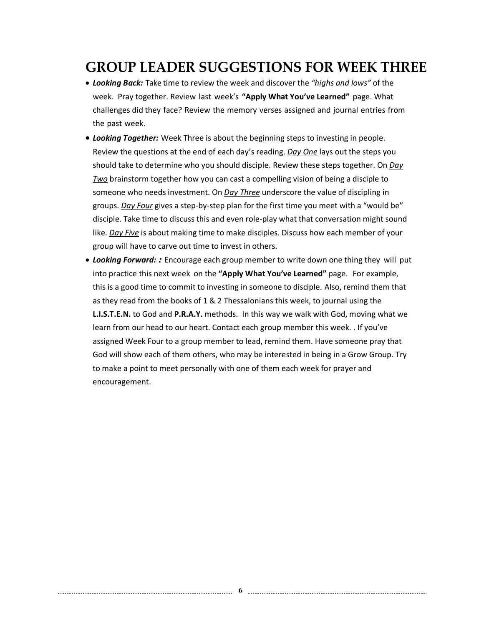### **GROUP LEADER SUGGESTIONS FOR WEEK THREE**

- *Looking Back:* Take time to review the week and discover the *"highs and lows"* of the week. Pray together. Review last week's **"Apply What You've Learned"** page. What challenges did they face? Review the memory verses assigned and journal entries from the past week.
- *Looking Together:* Week Three is about the beginning steps to investing in people. Review the questions at the end of each day's reading. *Day One* lays out the steps you should take to determine who you should disciple. Review these steps together. On *Day Two* brainstorm together how you can cast a compelling vision of being a disciple to someone who needs investment. On *Day Three* underscore the value of discipling in groups. *Day Four* gives a step-by-step plan for the first time you meet with a "would be" disciple. Take time to discuss this and even role-play what that conversation might sound like. *Day Five* is about making time to make disciples. Discuss how each member of your group will have to carve out time to invest in others.
- *Looking Forward: :* Encourage each group member to write down one thing they will put into practice this next week on the **"Apply What You've Learned"** page. For example, this is a good time to commit to investing in someone to disciple. Also, remind them that as they read from the books of 1 & 2 Thessalonians this week, to journal using the **L.I.S.T.E.N.** to God and **P.R.A.Y.** methods. In this way we walk with God, moving what we learn from our head to our heart. Contact each group member this week. . If you've assigned Week Four to a group member to lead, remind them. Have someone pray that God will show each of them others, who may be interested in being in a Grow Group. Try to make a point to meet personally with one of them each week for prayer and encouragement.

 **6**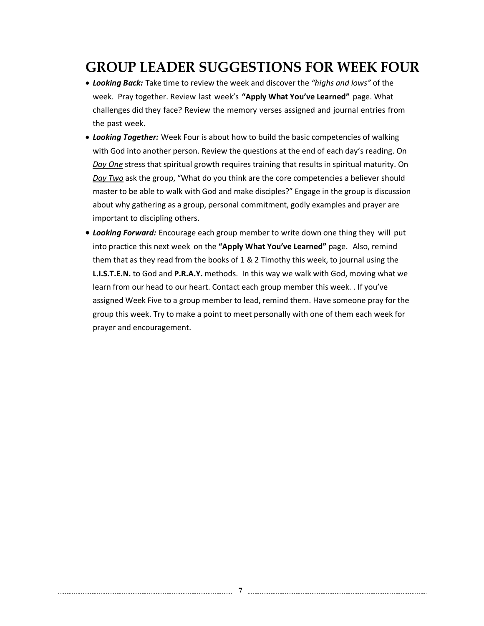# **GROUP LEADER SUGGESTIONS FOR WEEK FOUR**

- *Looking Back:* Take time to review the week and discover the *"highs and lows"* of the week. Pray together. Review last week's **"Apply What You've Learned"** page. What challenges did they face? Review the memory verses assigned and journal entries from the past week.
- *Looking Together:* Week Four is about how to build the basic competencies of walking with God into another person. Review the questions at the end of each day's reading. On *Day One* stress that spiritual growth requires training that results in spiritual maturity. On *Day Two* ask the group, "What do you think are the core competencies a believer should master to be able to walk with God and make disciples?" Engage in the group is discussion about why gathering as a group, personal commitment, godly examples and prayer are important to discipling others.
- *Looking Forward:* Encourage each group member to write down one thing they will put into practice this next week on the **"Apply What You've Learned"** page. Also, remind them that as they read from the books of 1 & 2 Timothy this week, to journal using the **L.I.S.T.E.N.** to God and **P.R.A.Y.** methods. In this way we walk with God, moving what we learn from our head to our heart. Contact each group member this week. . If you've assigned Week Five to a group member to lead, remind them. Have someone pray for the group this week. Try to make a point to meet personally with one of them each week for prayer and encouragement.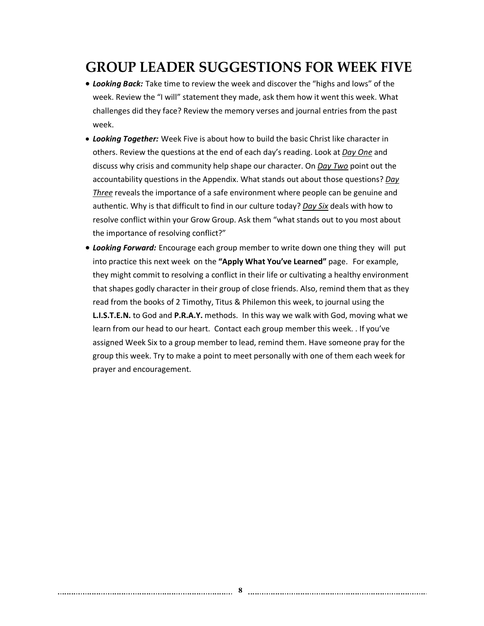### **GROUP LEADER SUGGESTIONS FOR WEEK FIVE**

- *Looking Back:* Take time to review the week and discover the "highs and lows" of the week. Review the "I will" statement they made, ask them how it went this week. What challenges did they face? Review the memory verses and journal entries from the past week.
- *Looking Together:* Week Five is about how to build the basic Christ like character in others. Review the questions at the end of each day's reading. Look at *Day One* and discuss why crisis and community help shape our character. On *Day Two* point out the accountability questions in the Appendix. What stands out about those questions? *Day Three* reveals the importance of a safe environment where people can be genuine and authentic. Why is that difficult to find in our culture today? *Day Six* deals with how to resolve conflict within your Grow Group. Ask them "what stands out to you most about the importance of resolving conflict?"
- *Looking Forward:* Encourage each group member to write down one thing they will put into practice this next week on the **"Apply What You've Learned"** page. For example, they might commit to resolving a conflict in their life or cultivating a healthy environment that shapes godly character in their group of close friends. Also, remind them that as they read from the books of 2 Timothy, Titus & Philemon this week, to journal using the **L.I.S.T.E.N.** to God and **P.R.A.Y.** methods. In this way we walk with God, moving what we learn from our head to our heart. Contact each group member this week. . If you've assigned Week Six to a group member to lead, remind them. Have someone pray for the group this week. Try to make a point to meet personally with one of them each week for prayer and encouragement.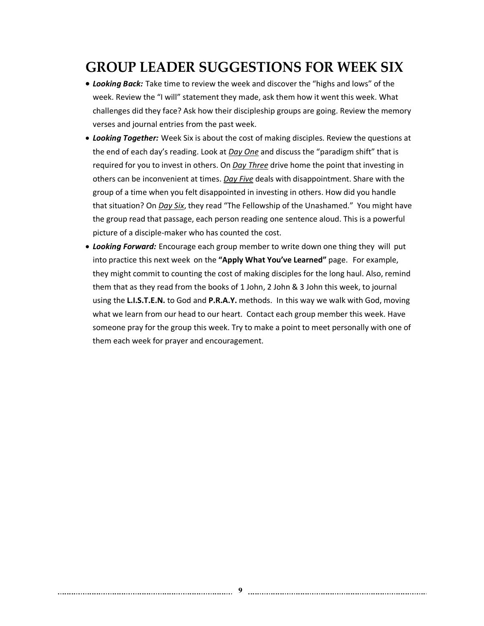# **GROUP LEADER SUGGESTIONS FOR WEEK SIX**

- *Looking Back:* Take time to review the week and discover the "highs and lows" of the week. Review the "I will" statement they made, ask them how it went this week. What challenges did they face? Ask how their discipleship groups are going. Review the memory verses and journal entries from the past week.
- *Looking Together:* Week Six is about the cost of making disciples. Review the questions at the end of each day's reading. Look at *Day One* and discuss the "paradigm shift" that is required for you to invest in others. On *Day Three* drive home the point that investing in others can be inconvenient at times. *Day Five* deals with disappointment. Share with the group of a time when you felt disappointed in investing in others. How did you handle that situation? On *Day Six*, they read "The Fellowship of the Unashamed." You might have the group read that passage, each person reading one sentence aloud. This is a powerful picture of a disciple-maker who has counted the cost.
- *Looking Forward:* Encourage each group member to write down one thing they will put into practice this next week on the **"Apply What You've Learned"** page. For example, they might commit to counting the cost of making disciples for the long haul. Also, remind them that as they read from the books of 1 John, 2 John & 3 John this week, to journal using the **L.I.S.T.E.N.** to God and **P.R.A.Y.** methods. In this way we walk with God, moving what we learn from our head to our heart. Contact each group member this week. Have someone pray for the group this week. Try to make a point to meet personally with one of them each week for prayer and encouragement.